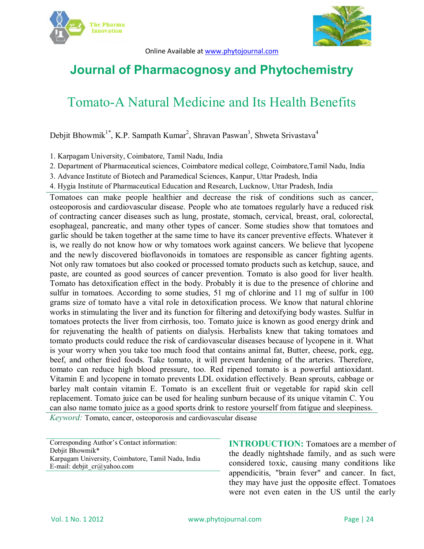



Online Available at www.phytojournal.com

## **Journal of Pharmacognosy and Phytochemistry**

# Tomato-A Natural Medicine and Its Health Benefits

Debjit Bhowmik<sup>1\*</sup>, K.P. Sampath Kumar<sup>2</sup>, Shravan Paswan<sup>3</sup>, Shweta Srivastava<sup>4</sup>

1. Karpagam University, Coimbatore, Tamil Nadu, India

- 2. Department of Pharmaceutical sciences, Coimbatore medical college, Coimbatore,Tamil Nadu, India
- 3. Advance Institute of Biotech and Paramedical Sciences, Kanpur, Uttar Pradesh, India
- 4. Hygia Institute of Pharmaceutical Education and Research, Lucknow, Uttar Pradesh, India

Tomatoes can make people healthier and decrease the risk of conditions such as cancer, osteoporosis and cardiovascular disease. People who ate tomatoes regularly have a reduced risk of contracting cancer diseases such as lung, prostate, stomach, cervical, breast, oral, colorectal, esophageal, pancreatic, and many other types of cancer. Some studies show that tomatoes and garlic should be taken together at the same time to have its cancer preventive effects. Whatever it is, we really do not know how or why tomatoes work against cancers. We believe that lycopene and the newly discovered bioflavonoids in tomatoes are responsible as cancer fighting agents. Not only raw tomatoes but also cooked or processed tomato products such as ketchup, sauce, and paste, are counted as good sources of cancer prevention. Tomato is also good for liver health. Tomato has detoxification effect in the body. Probably it is due to the presence of chlorine and sulfur in tomatoes. According to some studies, 51 mg of chlorine and 11 mg of sulfur in 100 grams size of tomato have a vital role in detoxification process. We know that natural chlorine works in stimulating the liver and its function for filtering and detoxifying body wastes. Sulfur in tomatoes protects the liver from cirrhosis, too. Tomato juice is known as good energy drink and for rejuvenating the health of patients on dialysis. Herbalists knew that taking tomatoes and tomato products could reduce the risk of cardiovascular diseases because of lycopene in it. What is your worry when you take too much food that contains animal fat, Butter, cheese, pork, egg, beef, and other fried foods. Take tomato, it will prevent hardening of the arteries. Therefore, tomato can reduce high blood pressure, too. Red ripened tomato is a powerful antioxidant. Vitamin E and lycopene in tomato prevents LDL oxidation effectively. Bean sprouts, cabbage or barley malt contain vitamin E. Tomato is an excellent fruit or vegetable for rapid skin cell replacement. Tomato juice can be used for healing sunburn because of its unique vitamin C. You can also name tomato juice as a good sports drink to restore yourself from fatigue and sleepiness.

*Keyword:* Tomato, cancer, osteoporosis and cardiovascular disease

Corresponding Author's Contact information: Debjit Bhowmik\* Karpagam University, Coimbatore, Tamil Nadu, India E-mail: debjit\_cr@yahoo.com

**INTRODUCTION:** Tomatoes are a member of the deadly nightshade family, and as such were considered toxic, causing many conditions like appendicitis, "brain fever" and cancer. In fact, they may have just the opposite effect. Tomatoes were not even eaten in the US until the early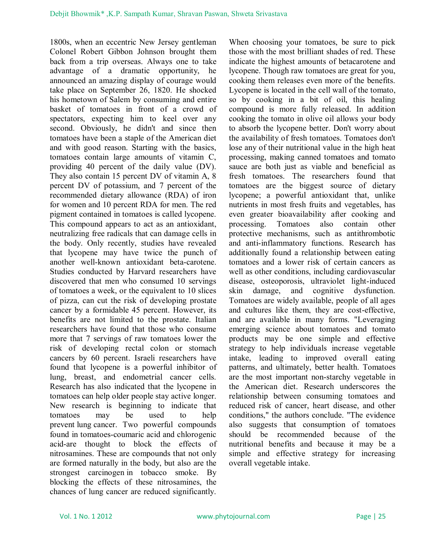1800s, when an eccentric New Jersey gentleman Colonel Robert Gibbon Johnson brought them back from a trip overseas. Always one to take advantage of a dramatic opportunity, he announced an amazing display of courage would take place on September 26, 1820. He shocked his hometown of Salem by consuming and entire basket of tomatoes in front of a crowd of spectators, expecting him to keel over any second. Obviously, he didn't and since then tomatoes have been a staple of the American diet and with good reason. Starting with the basics, tomatoes contain large amounts of vitamin C, providing 40 percent of the daily value (DV). They also contain 15 percent DV of vitamin A, 8 percent DV of potassium, and 7 percent of the recommended dietary allowance (RDA) of iron for women and 10 percent RDA for men. The red pigment contained in tomatoes is called lycopene. This compound appears to act as an antioxidant, neutralizing free radicals that can damage cells in the body. Only recently, studies have revealed that lycopene may have twice the punch of another well-known antioxidant beta-carotene. Studies conducted by Harvard researchers have discovered that men who consumed 10 servings of tomatoes a week, or the equivalent to 10 slices of pizza, can cut the risk of developing prostate cancer by a formidable 45 percent. However, its benefits are not limited to the prostate. Italian researchers have found that those who consume more that 7 servings of raw tomatoes lower the risk of developing rectal colon or stomach cancers by 60 percent. Israeli researchers have found that lycopene is a powerful inhibitor of lung, breast, and endometrial cancer cells. Research has also indicated that the lycopene in tomatoes can help older people stay active longer. New research is beginning to indicate that tomatoes may be used to help prevent lung cancer. Two powerful compounds found in tomatoes-coumaric acid and chlorogenic acid-are thought to block the effects of nitrosamines. These are compounds that not only are formed naturally in the body, but also are the strongest carcinogen in tobacco smoke. By blocking the effects of these nitrosamines, the chances of lung cancer are reduced significantly.

When choosing your tomatoes, be sure to pick those with the most brilliant shades of red. These indicate the highest amounts of betacarotene and lycopene. Though raw tomatoes are great for you, cooking them releases even more of the benefits. Lycopene is located in the cell wall of the tomato, so by cooking in a bit of oil, this healing compound is more fully released. In addition cooking the tomato in olive oil allows your body to absorb the lycopene better. Don't worry about the availability of fresh tomatoes. Tomatoes don't lose any of their nutritional value in the high heat processing, making canned tomatoes and tomato sauce are both just as viable and beneficial as fresh tomatoes. The researchers found that tomatoes are the biggest source of dietary lycopene; a powerful antioxidant that, unlike nutrients in most fresh fruits and vegetables, has even greater bioavailability after cooking and processing. Tomatoes also contain other protective mechanisms, such as antithrombotic and anti-inflammatory functions. Research has additionally found a relationship between eating tomatoes and a lower risk of certain cancers as well as other conditions, including cardiovascular disease, osteoporosis, ultraviolet light-induced skin damage, and cognitive dysfunction. Tomatoes are widely available, people of all ages and cultures like them, they are cost-effective, and are available in many forms. "Leveraging emerging science about tomatoes and tomato products may be one simple and effective strategy to help individuals increase vegetable intake, leading to improved overall eating patterns, and ultimately, better health. Tomatoes are the most important non-starchy vegetable in the American diet. Research underscores the relationship between consuming tomatoes and reduced risk of cancer, heart disease, and other conditions," the authors conclude. "The evidence also suggests that consumption of tomatoes should be recommended because of the nutritional benefits and because it may be a simple and effective strategy for increasing overall vegetable intake.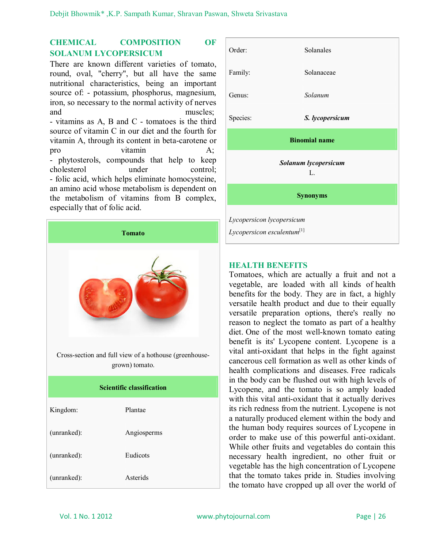## **CHEMICAL COMPOSITION OF SOLANUM LYCOPERSICUM**

There are known different varieties of tomato, round, oval, "cherry", but all have the same nutritional characteristics, being an important source of: - potassium, phosphorus, magnesium, iron, so necessary to the normal activity of nerves and muscles: - vitamins as A, B and C - tomatoes is the third source of vitamin C in our diet and the fourth for vitamin A, through its content in beta-carotene or pro vitamin A: - phytosterols, compounds that help to keep cholesterol under control; - folic acid, which helps eliminate homocysteine,

an amino acid whose metabolism is dependent on the metabolism of vitamins from B complex, especially that of folic acid.





#### **HEALTH BENEFITS**

Tomatoes, which are actually a fruit and not a vegetable, are loaded with all kinds of health benefits for the body. They are in fact, a highly versatile health product and due to their equally versatile preparation options, there's really no reason to neglect the tomato as part of a healthy diet. One of the most well-known tomato eating benefit is its' Lycopene content. Lycopene is a vital anti-oxidant that helps in the fight against cancerous cell formation as well as other kinds of health complications and diseases. Free radicals in the body can be flushed out with high levels of Lycopene, and the tomato is so amply loaded with this vital anti-oxidant that it actually derives its rich redness from the nutrient. Lycopene is not a naturally produced element within the body and the human body requires sources of Lycopene in order to make use of this powerful anti-oxidant. While other fruits and vegetables do contain this necessary health ingredient, no other fruit or vegetable has the high concentration of Lycopene that the tomato takes pride in. Studies involving the tomato have cropped up all over the world of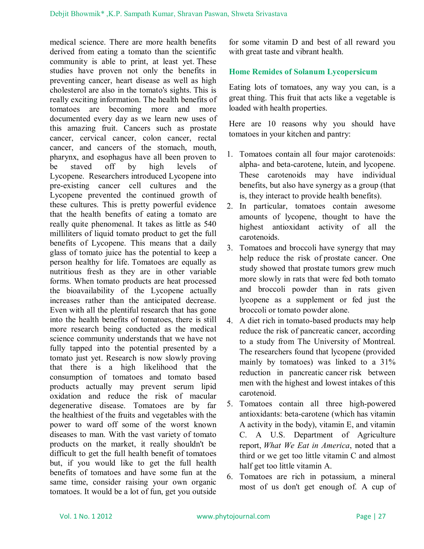medical science. There are more health benefits derived from eating a tomato than the scientific community is able to print, at least yet. These studies have proven not only the benefits in preventing cancer, heart disease as well as high cholesterol are also in the tomato's sights. This is really exciting information. The health benefits of tomatoes are becoming more and more documented every day as we learn new uses of this amazing fruit. Cancers such as prostate cancer, cervical cancer, colon cancer, rectal cancer, and cancers of the stomach, mouth, pharynx, and esophagus have all been proven to be staved off by high levels of Lycopene. Researchers introduced Lycopene into pre-existing cancer cell cultures and the Lycopene prevented the continued growth of these cultures. This is pretty powerful evidence that the health benefits of eating a tomato are really quite phenomenal. It takes as little as 540 milliliters of liquid tomato product to get the full benefits of Lycopene. This means that a daily glass of tomato juice has the potential to keep a person healthy for life. Tomatoes are equally as nutritious fresh as they are in other variable forms. When tomato products are heat processed the bioavailability of the Lycopene actually increases rather than the anticipated decrease. Even with all the plentiful research that has gone into the health benefits of tomatoes, there is still more research being conducted as the medical science community understands that we have not fully tapped into the potential presented by a tomato just yet. Research is now slowly proving that there is a high likelihood that the consumption of tomatoes and tomato based products actually may prevent serum lipid oxidation and reduce the risk of macular degenerative disease. Tomatoes are by far the healthiest of the fruits and vegetables with the power to ward off some of the worst known diseases to man. With the vast variety of tomato products on the market, it really shouldn't be difficult to get the full health benefit of tomatoes but, if you would like to get the full health benefits of tomatoes and have some fun at the same time, consider raising your own organic tomatoes. It would be a lot of fun, get you outside

for some vitamin D and best of all reward you with great taste and vibrant health.

### **Home Remides of Solanum Lycopersicum**

Eating lots of tomatoes, any way you can, is a great thing. This fruit that acts like a vegetable is loaded with health properties.

Here are 10 reasons why you should have tomatoes in your kitchen and pantry:

- 1. Tomatoes contain all four major carotenoids: alpha- and beta-carotene, lutein, and lycopene. These carotenoids may have individual benefits, but also have synergy as a group (that is, they interact to provide health benefits).
- 2. In particular, tomatoes contain awesome amounts of lycopene, thought to have the highest antioxidant activity of all the carotenoids.
- 3. Tomatoes and broccoli have synergy that may help reduce the risk of prostate cancer. One study showed that prostate tumors grew much more slowly in rats that were fed both tomato and broccoli powder than in rats given lycopene as a supplement or fed just the broccoli or tomato powder alone.
- 4. A diet rich in tomato-based products may help reduce the risk of pancreatic cancer, according to a study from The University of Montreal. The researchers found that lycopene (provided mainly by tomatoes) was linked to a 31% reduction in pancreatic cancer risk between men with the highest and lowest intakes of this carotenoid.
- 5. Tomatoes contain all three high-powered antioxidants: beta-carotene (which has vitamin A activity in the body), vitamin E, and vitamin C. A U.S. Department of Agriculture report, *What We Eat in America*, noted that a third or we get too little vitamin C and almost half get too little vitamin A.
- 6. Tomatoes are rich in potassium, a mineral most of us don't get enough of. A cup of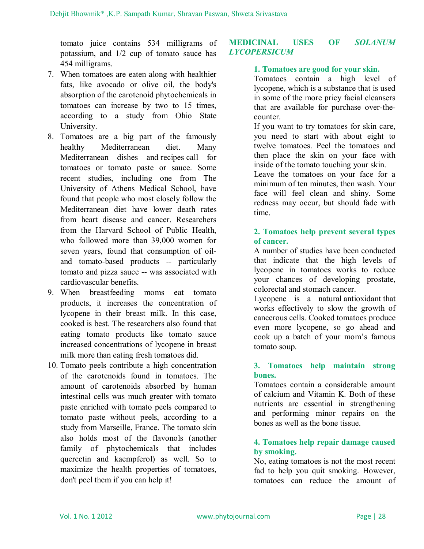tomato juice contains 534 milligrams of potassium, and 1/2 cup of tomato sauce has 454 milligrams.

- 7. When tomatoes are eaten along with healthier fats, like avocado or olive oil, the body's absorption of the carotenoid phytochemicals in tomatoes can increase by two to 15 times, according to a study from Ohio State University.
- 8. Tomatoes are a big part of the famously healthy Mediterranean diet. Many Mediterranean dishes and recipes call for tomatoes or tomato paste or sauce. Some recent studies, including one from The University of Athens Medical School, have found that people who most closely follow the Mediterranean diet have lower death rates from heart disease and cancer. Researchers from the Harvard School of Public Health, who followed more than 39,000 women for seven years, found that consumption of oiland tomato-based products -- particularly tomato and pizza sauce -- was associated with cardiovascular benefits.
- 9. When breastfeeding moms eat tomato products, it increases the concentration of lycopene in their breast milk. In this case, cooked is best. The researchers also found that eating tomato products like tomato sauce increased concentrations of lycopene in breast milk more than eating fresh tomatoes did.
- 10. Tomato peels contribute a high concentration of the carotenoids found in tomatoes. The amount of carotenoids absorbed by human intestinal cells was much greater with tomato paste enriched with tomato peels compared to tomato paste without peels, according to a study from Marseille, France. The tomato skin also holds most of the flavonols (another family of phytochemicals that includes quercetin and kaempferol) as well. So to maximize the health properties of tomatoes, don't peel them if you can help it!

## **MEDICINAL USES OF** *SOLANUM LYCOPERSICUM*

## **1. Tomatoes are good for your skin.**

Tomatoes contain a high level of lycopene, which is a substance that is used in some of the more pricy facial cleansers that are available for purchase over-thecounter.

If you want to try tomatoes for skin care, you need to start with about eight to twelve tomatoes. Peel the tomatoes and then place the skin on your face with inside of the tomato touching your skin.

Leave the tomatoes on your face for a minimum of ten minutes, then wash. Your face will feel clean and shiny. Some redness may occur, but should fade with time.

## **2. Tomatoes help prevent several types of cancer.**

A number of studies have been conducted that indicate that the high levels of lycopene in tomatoes works to reduce your chances of developing prostate, colorectal and stomach cancer.

Lycopene is a natural antioxidant that works effectively to slow the growth of cancerous cells. Cooked tomatoes produce even more lycopene, so go ahead and cook up a batch of your mom's famous tomato soup.

### **3. Tomatoes help maintain strong bones.**

Tomatoes contain a considerable amount of calcium and Vitamin K. Both of these nutrients are essential in strengthening and performing minor repairs on the bones as well as the bone tissue.

### **4. Tomatoes help repair damage caused by smoking.**

No, eating tomatoes is not the most recent fad to help you quit smoking. However, tomatoes can reduce the amount of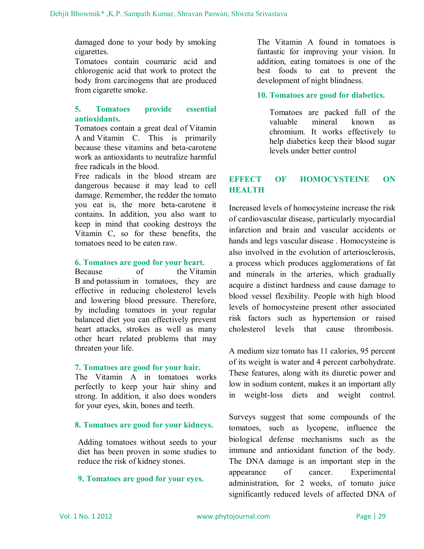damaged done to your body by smoking cigarettes.

Tomatoes contain coumaric acid and chlorogenic acid that work to protect the body from carcinogens that are produced from cigarette smoke.

#### **5. Tomatoes provide essential antioxidants.**

Tomatoes contain a great deal of Vitamin A and Vitamin C. This is primarily because these vitamins and beta-carotene work as antioxidants to neutralize harmful free radicals in the blood.

Free radicals in the blood stream are dangerous because it may lead to cell damage. Remember, the redder the tomato you eat is, the more beta-carotene it contains. In addition, you also want to keep in mind that cooking destroys the Vitamin C, so for these benefits, the tomatoes need to be eaten raw.

#### **6. Tomatoes are good for your heart.**

Because of the Vitamin B and potassium in tomatoes, they are effective in reducing cholesterol levels and lowering blood pressure. Therefore, by including tomatoes in your regular balanced diet you can effectively prevent heart attacks, strokes as well as many other heart related problems that may threaten your life.

#### **7. Tomatoes are good for your hair.**

The Vitamin A in tomatoes works perfectly to keep your hair shiny and strong. In addition, it also does wonders for your eyes, skin, bones and teeth.

#### **8. Tomatoes are good for your kidneys.**

Adding tomatoes without seeds to your diet has been proven in some studies to reduce the risk of kidney stones.

#### **9. Tomatoes are good for your eyes.**

The Vitamin A found in tomatoes is fantastic for improving your vision. In addition, eating tomatoes is one of the best foods to eat to prevent the development of night blindness.

#### **10. Tomatoes are good for diabetics.**

Tomatoes are packed full of the valuable mineral known as chromium. It works effectively to help diabetics keep their blood sugar levels under better control

## **EFFECT OF HOMOCYSTEINE ON HEALTH**

Increased levels of homocysteine increase the risk of cardiovascular disease, particularly myocardial infarction and brain and vascular accidents or hands and legs vascular disease . Homocysteine is also involved in the evolution of arteriosclerosis, a process which produces agglomerations of fat and minerals in the arteries, which gradually acquire a distinct hardness and cause damage to blood vessel flexibility. People with high blood levels of homocysteine present other associated risk factors such as hypertension or raised cholesterol levels that cause thrombosis.

A medium size tomato has 11 calories, 95 percent of its weight is water and 4 percent carbohydrate. These features, along with its diuretic power and low in sodium content, makes it an important ally in weight-loss diets and weight control.

Surveys suggest that some compounds of the tomatoes, such as lycopene, influence the biological defense mechanisms such as the immune and antioxidant function of the body. The DNA damage is an important step in the appearance of cancer. Experimental administration, for 2 weeks, of tomato juice significantly reduced levels of affected DNA of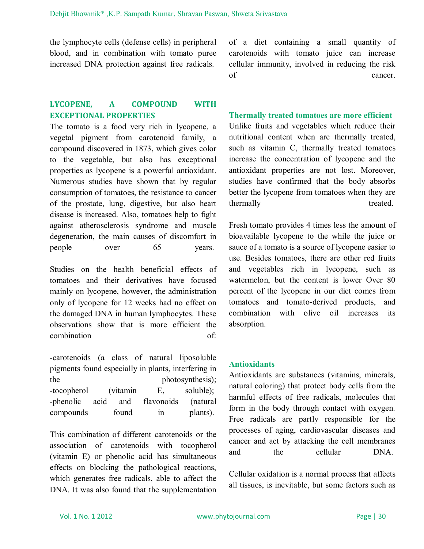the lymphocyte cells (defense cells) in peripheral blood, and in combination with tomato puree increased DNA protection against free radicals.

## **LYCOPENE, A COMPOUND WITH EXCEPTIONAL PROPERTIES**

The tomato is a food very rich in lycopene, a vegetal pigment from carotenoid family, a compound discovered in 1873, which gives color to the vegetable, but also has exceptional properties as lycopene is a powerful antioxidant. Numerous studies have shown that by regular consumption of tomatoes, the resistance to cancer of the prostate, lung, digestive, but also heart disease is increased. Also, tomatoes help to fight against atherosclerosis syndrome and muscle degeneration, the main causes of discomfort in people over 65 years.

Studies on the health beneficial effects of tomatoes and their derivatives have focused mainly on lycopene, however, the administration only of lycopene for 12 weeks had no effect on the damaged DNA in human lymphocytes. These observations show that is more efficient the combination of:

-carotenoids (a class of natural liposoluble pigments found especially in plants, interfering in the photosynthesis); -tocopherol (vitamin E, soluble); -phenolic acid and flavonoids (natural compounds found in plants).

This combination of different carotenoids or the association of carotenoids with tocopherol (vitamin E) or phenolic acid has simultaneous effects on blocking the pathological reactions, which generates free radicals, able to affect the DNA. It was also found that the supplementation of a diet containing a small quantity of carotenoids with tomato juice can increase cellular immunity, involved in reducing the risk of cancer.

#### **Thermally treated tomatoes are more efficient**

Unlike fruits and vegetables which reduce their nutritional content when are thermally treated, such as vitamin C, thermally treated tomatoes increase the concentration of lycopene and the antioxidant properties are not lost. Moreover, studies have confirmed that the body absorbs better the lycopene from tomatoes when they are thermally treated.

Fresh tomato provides 4 times less the amount of bioavailable lycopene to the while the juice or sauce of a tomato is a source of lycopene easier to use. Besides tomatoes, there are other red fruits and vegetables rich in lycopene, such as watermelon, but the content is lower Over 80 percent of the lycopene in our diet comes from tomatoes and tomato-derived products, and combination with olive oil increases its absorption.

#### **Antioxidants**

Antioxidants are substances (vitamins, minerals, natural coloring) that protect body cells from the harmful effects of free radicals, molecules that form in the body through contact with oxygen. Free radicals are partly responsible for the processes of aging, cardiovascular diseases and cancer and act by attacking the cell membranes and the cellular DNA.

Cellular oxidation is a normal process that affects all tissues, is inevitable, but some factors such as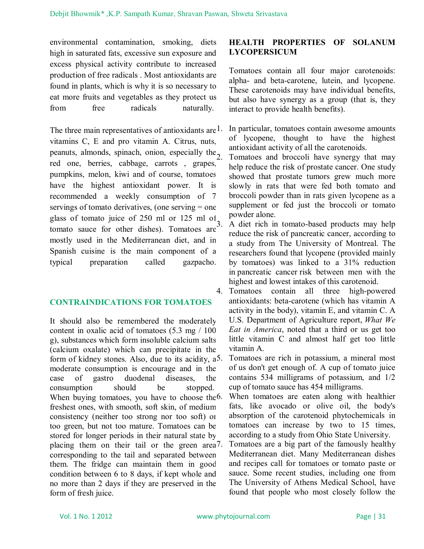environmental contamination, smoking, diets high in saturated fats, excessive sun exposure and excess physical activity contribute to increased production of free radicals . Most antioxidants are found in plants, which is why it is so necessary to eat more fruits and vegetables as they protect us from free radicals naturally.

The three main representatives of antioxidants are <sup>1</sup>. vitamins C, E and pro vitamin A. Citrus, nuts, peanuts, almonds, spinach, onion, especially the $_2$ red one, berries, cabbage, carrots , grapes, pumpkins, melon, kiwi and of course, tomatoes have the highest antioxidant power. It is recommended a weekly consumption of 7 servings of tomato derivatives, (one serving = one glass of tomato juice of 250 ml or 125 ml of  $\frac{3}{3}$ . tomato sauce for other dishes). Tomatoes are mostly used in the Mediterranean diet, and in Spanish cuisine is the main component of a typical preparation called gazpacho.

#### **CONTRAINDICATIONS FOR TOMATOES**

It should also be remembered the moderately content in oxalic acid of tomatoes (5.3 mg / 100 g), substances which form insoluble calcium salts (calcium oxalate) which can precipitate in the form of kidney stones. Also, due to its acidity, a<sup>5</sup>. moderate consumption is encourage and in the case of gastro duodenal diseases, the consumption should be stopped. When buying tomatoes, you have to choose the 6. freshest ones, with smooth, soft skin, of medium consistency (neither too strong nor too soft) or too green, but not too mature. Tomatoes can be stored for longer periods in their natural state by placing them on their tail or the green area<sup>7</sup>. corresponding to the tail and separated between them. The fridge can maintain them in good condition between 6 to 8 days, if kept whole and no more than 2 days if they are preserved in the form of fresh juice.

#### **HEALTH PROPERTIES OF SOLANUM LYCOPERSICUM**

Tomatoes contain all four major carotenoids: alpha- and beta-carotene, lutein, and lycopene. These carotenoids may have individual benefits, but also have synergy as a group (that is, they interact to provide health benefits).

In particular, tomatoes contain awesome amounts of lycopene, thought to have the highest antioxidant activity of all the carotenoids.

2. Tomatoes and broccoli have synergy that may help reduce the risk of prostate cancer. One study showed that prostate tumors grew much more slowly in rats that were fed both tomato and broccoli powder than in rats given lycopene as a supplement or fed just the broccoli or tomato powder alone.

3. A diet rich in tomato-based products may help reduce the risk of pancreatic cancer, according to a study from The University of Montreal. The researchers found that lycopene (provided mainly by tomatoes) was linked to a 31% reduction in pancreatic cancer risk between men with the highest and lowest intakes of this carotenoid.

4. Tomatoes contain all three high-powered antioxidants: beta-carotene (which has vitamin A activity in the body), vitamin E, and vitamin C. A U.S. Department of Agriculture report, *What We Eat in America*, noted that a third or us get too little vitamin C and almost half get too little vitamin A.

5. Tomatoes are rich in potassium, a mineral most of us don't get enough of. A cup of tomato juice contains 534 milligrams of potassium, and 1/2 cup of tomato sauce has 454 milligrams.

When tomatoes are eaten along with healthier fats, like avocado or olive oil, the body's absorption of the carotenoid phytochemicals in tomatoes can increase by two to 15 times, according to a study from Ohio State University.

Tomatoes are a big part of the famously healthy Mediterranean diet. Many Mediterranean dishes and recipes call for tomatoes or tomato paste or sauce. Some recent studies, including one from The University of Athens Medical School, have found that people who most closely follow the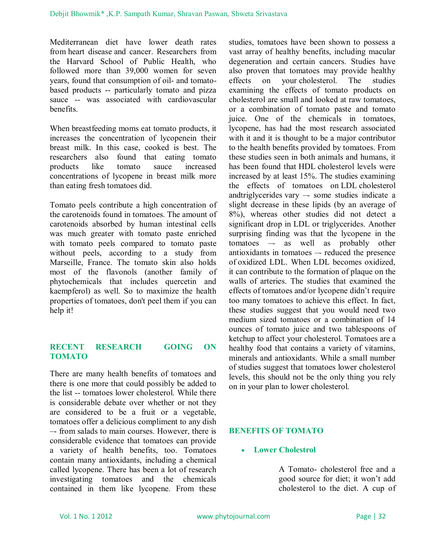Mediterranean diet have lower death rates from heart disease and cancer. Researchers from the Harvard School of Public Health, who followed more than 39,000 women for seven years, found that consumption of oil- and tomatobased products -- particularly tomato and pizza sauce -- was associated with cardiovascular benefits.

When breastfeeding moms eat tomato products, it increases the concentration of lycopenein their breast milk. In this case, cooked is best. The researchers also found that eating tomato products like tomato sauce increased concentrations of lycopene in breast milk more than eating fresh tomatoes did.

Tomato peels contribute a high concentration of the carotenoids found in tomatoes. The amount of carotenoids absorbed by human intestinal cells was much greater with tomato paste enriched with tomato peels compared to tomato paste without peels, according to a study from Marseille, France. The tomato skin also holds most of the flavonols (another family of phytochemicals that includes quercetin and kaempferol) as well. So to maximize the health properties of tomatoes, don't peel them if you can help it!

### **RECENT RESEARCH GOING ON TOMATO**

There are many health benefits of tomatoes and there is one more that could possibly be added to the list -- tomatoes lower cholesterol. While there is considerable debate over whether or not they are considered to be a fruit or a vegetable, tomatoes offer a delicious compliment to any dish –- from salads to main courses. However, there is considerable evidence that tomatoes can provide a variety of health benefits, too. Tomatoes contain many antioxidants, including a chemical called lycopene. There has been a lot of research investigating tomatoes and the chemicals contained in them like lycopene. From these studies, tomatoes have been shown to possess a vast array of healthy benefits, including macular degeneration and certain cancers. Studies have also proven that tomatoes may provide healthy effects on your cholesterol. The studies examining the effects of tomato products on cholesterol are small and looked at raw tomatoes, or a combination of tomato paste and tomato juice. One of the chemicals in tomatoes, lycopene, has had the most research associated with it and it is thought to be a major contributor to the health benefits provided by tomatoes. From these studies seen in both animals and humans, it has been found that HDL cholesterol levels were increased by at least 15%. The studies examining the effects of tomatoes on LDL cholesterol andtriglycerides vary –- some studies indicate a slight decrease in these lipids (by an average of 8%), whereas other studies did not detect a significant drop in LDL or triglycerides. Another surprising finding was that the lycopene in the tomatoes –- as well as probably other antioxidants in tomatoes –- reduced the presence of oxidized LDL. When LDL becomes oxidized, it can contribute to the formation of plaque on the walls of arteries. The studies that examined the effects of tomatoes and/or lycopene didn't require too many tomatoes to achieve this effect. In fact, these studies suggest that you would need two medium sized tomatoes or a combination of 14 ounces of tomato juice and two tablespoons of ketchup to affect your cholesterol. Tomatoes are a healthy food that contains a variety of vitamins, minerals and antioxidants. While a small number of studies suggest that tomatoes lower cholesterol levels, this should not be the only thing you rely on in your plan to lower cholesterol.

#### **BENEFITS OF TOMATO**

#### **Lower Cholestrol**

A Tomato- cholesterol free and a good source for diet; it won't add cholesterol to the diet. A cup of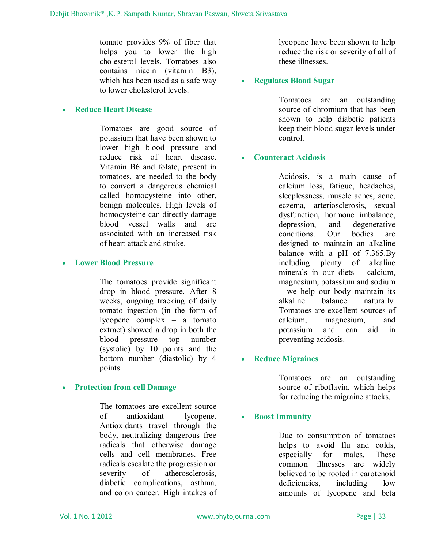tomato provides 9% of fiber that helps you to lower the high cholesterol levels. Tomatoes also contains niacin (vitamin B3), which has been used as a safe way to lower cholesterol levels.

## **Reduce Heart Disease**

Tomatoes are good source of potassium that have been shown to lower high blood pressure and reduce risk of heart disease. Vitamin B6 and folate, present in tomatoes, are needed to the body to convert a dangerous chemical called homocysteine into other, benign molecules. High levels of homocysteine can directly damage blood vessel walls and are associated with an increased risk of heart attack and stroke.

#### **Lower Blood Pressure**

The tomatoes provide significant drop in blood pressure. After 8 weeks, ongoing tracking of daily tomato ingestion (in the form of lycopene complex – a tomato extract) showed a drop in both the blood pressure top number (systolic) by 10 points and the bottom number (diastolic) by 4 points.

## **Protection from cell Damage**

The tomatoes are excellent source of antioxidant lycopene. Antioxidants travel through the body, neutralizing dangerous free radicals that otherwise damage cells and cell membranes. Free radicals escalate the progression or severity of atherosclerosis, diabetic complications, asthma, and colon cancer. High intakes of lycopene have been shown to help reduce the risk or severity of all of these illnesses.

### **Regulates Blood Sugar**

Tomatoes are an outstanding source of chromium that has been shown to help diabetic patients keep their blood sugar levels under control.

### **Counteract Acidosis**

Acidosis, is a main cause of calcium loss, fatigue, headaches, sleeplessness, muscle aches, acne, eczema, arteriosclerosis, sexual dysfunction, hormone imbalance, depression, and degenerative conditions. Our bodies are designed to maintain an alkaline balance with a pH of 7.365.By including plenty of alkaline minerals in our diets – calcium, magnesium, potassium and sodium – we help our body maintain its alkaline balance naturally. Tomatoes are excellent sources of calcium, magnesium, and potassium and can aid in preventing acidosis.

## **Reduce Migraines**

Tomatoes are an outstanding source of riboflavin, which helps for reducing the migraine attacks.

#### **Boost Immunity**

Due to consumption of tomatoes helps to avoid flu and colds, especially for males. These common illnesses are widely believed to be rooted in carotenoid deficiencies, including low amounts of lycopene and beta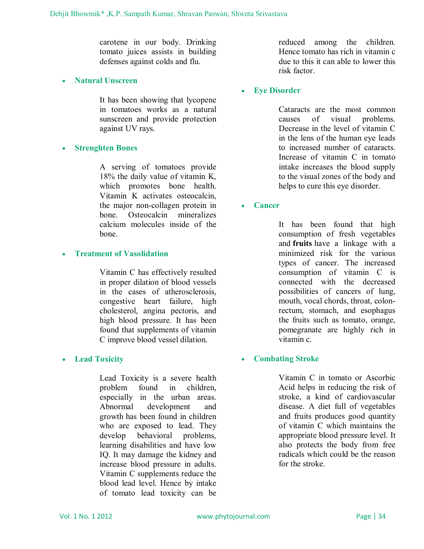carotene in our body. Drinking tomato juices assists in building defenses against colds and flu.

**Natural Unscreen**

It has been showing that lycopene in tomatoes works as a natural sunscreen and provide protection against UV rays.

#### **Strenghten Bones**

A serving of tomatoes provide 18% the daily value of vitamin K, which promotes bone health. Vitamin K activates osteocalcin, the major non-collagen protein in bone. Osteocalcin mineralizes calcium molecules inside of the bone.

#### **Treatment of Vasolidation**

Vitamin C has effectively resulted in proper dilation of blood vessels in the cases of atherosclerosis, congestive heart failure, high cholesterol, angina pectoris, and high blood pressure. It has been found that supplements of vitamin C improve blood vessel dilation.

#### **Lead Toxicity**

Lead Toxicity is a severe health problem found in children, especially in the urban areas. Abnormal development and growth has been found in children who are exposed to lead. They develop behavioral problems, learning disabilities and have low IQ. It may damage the kidney and increase blood pressure in adults. Vitamin C supplements reduce the blood lead level. Hence by intake of tomato lead toxicity can be

reduced among the children. Hence tomato has rich in vitamin c due to this it can able to lower this risk factor.

#### **Eye Disorder**

Cataracts are the most common causes of visual problems. Decrease in the level of vitamin C in the lens of the human eye leads to increased number of cataracts. Increase of vitamin C in tomato intake increases the blood supply to the visual zones of the body and helps to cure this eye disorder.

**Cancer**

It has been found that high consumption of fresh vegetables and **fruits** have a linkage with a minimized risk for the various types of cancer. The increased consumption of vitamin C is connected with the decreased possibilities of cancers of lung, mouth, vocal chords, throat, colonrectum, stomach, and esophagus the fruits such as tomato, orange, pomegranate are highly rich in vitamin c.

## **Combating Stroke**

Vitamin C in tomato or Ascorbic Acid helps in reducing the risk of stroke, a kind of cardiovascular disease. A diet full of vegetables and fruits produces good quantity of vitamin C which maintains the appropriate blood pressure level. It also protects the body from free radicals which could be the reason for the stroke.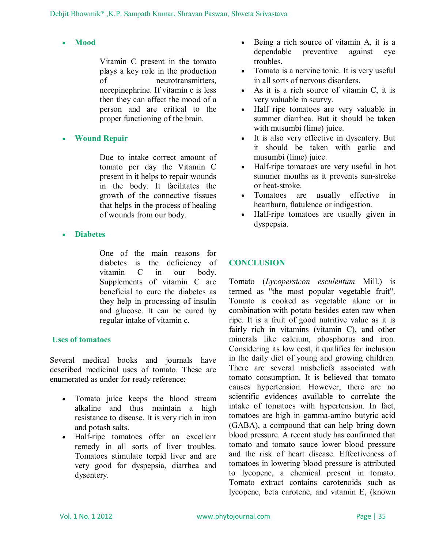## **Mood**

Vitamin C present in the tomato plays a key role in the production of neurotransmitters, norepinephrine. If vitamin c is less then they can affect the mood of a person and are critical to the proper functioning of the brain.

## **Wound Repair**

Due to intake correct amount of tomato per day the Vitamin C present in it helps to repair wounds in the body. It facilitates the growth of the connective tissues that helps in the process of healing of wounds from our body.

**Diabetes**

One of the main reasons for diabetes is the deficiency of vitamin C in our body. Supplements of vitamin C are beneficial to cure the diabetes as they help in processing of insulin and glucose. It can be cured by regular intake of vitamin c.

## **Uses of tomatoes**

Several medical books and journals have described medicinal uses of tomato. These are enumerated as under for ready reference:

- Tomato juice keeps the blood stream alkaline and thus maintain a high resistance to disease. It is very rich in iron and potash salts.
- Half-ripe tomatoes offer an excellent remedy in all sorts of liver troubles. Tomatoes stimulate torpid liver and are very good for dyspepsia, diarrhea and dysentery.
- Being a rich source of vitamin A, it is a dependable preventive against eye troubles.
- Tomato is a nervine tonic. It is very useful in all sorts of nervous disorders.
- As it is a rich source of vitamin C, it is very valuable in scurvy.
- Half ripe tomatoes are very valuable in summer diarrhea. But it should be taken with musumbi (lime) juice.
- It is also very effective in dysentery. But it should be taken with garlic and musumbi (lime) juice.
- Half-ripe tomatoes are very useful in hot summer months as it prevents sun-stroke or heat-stroke.
- Tomatoes are usually effective in heartburn, flatulence or indigestion.
- Half-ripe tomatoes are usually given in dyspepsia.

## **CONCLUSION**

Tomato (*Lycopersicon esculentum* Mill.) is termed as "the most popular vegetable fruit". Tomato is cooked as vegetable alone or in combination with potato besides eaten raw when ripe. It is a fruit of good nutritive value as it is fairly rich in vitamins (vitamin C), and other minerals like calcium, phosphorus and iron. Considering its low cost, it qualifies for inclusion in the daily diet of young and growing children. There are several misbeliefs associated with tomato consumption. It is believed that tomato causes hypertension. However, there are no scientific evidences available to correlate the intake of tomatoes with hypertension. In fact, tomatoes are high in gamma-amino butyric acid (GABA), a compound that can help bring down blood pressure. A recent study has confirmed that tomato and tomato sauce lower blood pressure and the risk of heart disease. Effectiveness of tomatoes in lowering blood pressure is attributed to lycopene, a chemical present in tomato. Tomato extract contains carotenoids such as lycopene, beta carotene, and vitamin E, (known